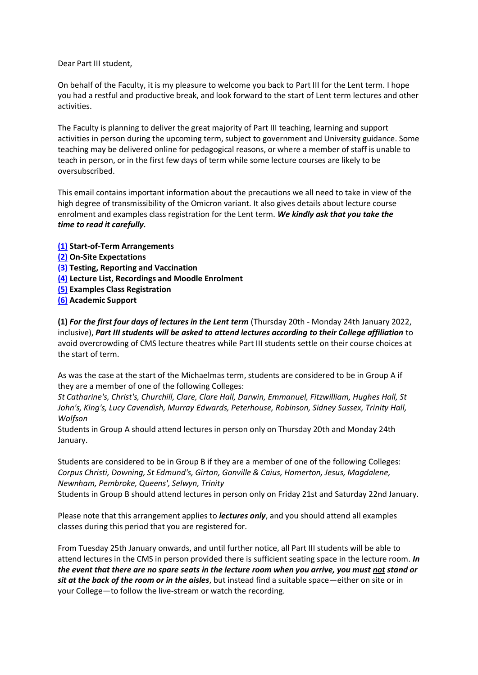Dear Part III student,

On behalf of the Faculty, it is my pleasure to welcome you back to Part III for the Lent term. I hope you had a restful and productive break, and look forward to the start of Lent term lectures and other activities.

The Faculty is planning to deliver the great majority of Part III teaching, learning and support activities in person during the upcoming term, subject to government and University guidance. Some teaching may be delivered online for pedagogical reasons, or where a member of staff is unable to teach in person, or in the first few days of term while some lecture courses are likely to be oversubscribed.

This email contains important information about the precautions we all need to take in view of the high degree of transmissibility of the Omicron variant. It also gives details about lecture course enrolment and examples class registration for the Lent term. *We kindly ask that you take the time to read it carefully.*

- **[\(1\)](#page-0-0) Start-of-Term Arrangements**
- **[\(2\)](#page-1-0) On-Site Expectations**
- **[\(3\)](#page-1-1) Testing, Reporting and Vaccination**
- **[\(4\)](#page-1-2) Lecture List, Recordings and Moodle Enrolment**
- **[\(5\)](#page-2-0) Examples Class Registration**
- **[\(6\)](#page-2-1) Academic Support**

<span id="page-0-0"></span>**(1)** *For the first four days of lectures in the Lent term* (Thursday 20th - Monday 24th January 2022, inclusive), *Part III students will be asked to attend lectures according to their College affiliation* to avoid overcrowding of CMS lecture theatres while Part III students settle on their course choices at the start of term.

As was the case at the start of the Michaelmas term, students are considered to be in Group A if they are a member of one of the following Colleges:

*St Catharine's, Christ's, Churchill, Clare, Clare Hall, Darwin, Emmanuel, Fitzwilliam, Hughes Hall, St John's, King's, Lucy Cavendish, Murray Edwards, Peterhouse, Robinson, Sidney Sussex, Trinity Hall, Wolfson*

Students in Group A should attend lectures in person only on Thursday 20th and Monday 24th January.

Students are considered to be in Group B if they are a member of one of the following Colleges: *Corpus Christi, Downing, St Edmund's, Girton, Gonville & Caius, Homerton, Jesus, Magdalene, Newnham, Pembroke, Queens', Selwyn, Trinity*

Students in Group B should attend lectures in person only on Friday 21st and Saturday 22nd January.

Please note that this arrangement applies to *lectures only*, and you should attend all examples classes during this period that you are registered for.

From Tuesday 25th January onwards, and until further notice, all Part III students will be able to attend lectures in the CMS in person provided there is sufficient seating space in the lecture room. *In the event that there are no spare seats in the lecture room when you arrive, you must not stand or sit at the back of the room or in the aisles*, but instead find a suitable space—either on site or in your College—to follow the live-stream or watch the recording.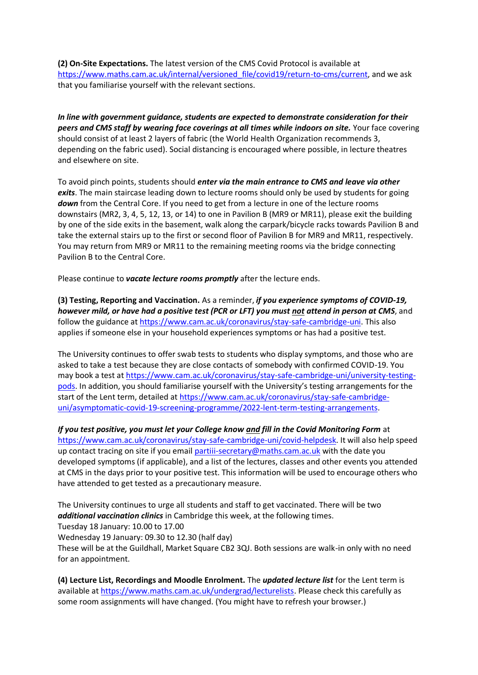<span id="page-1-0"></span>**(2) On-Site Expectations.** The latest version of the CMS Covid Protocol is available at [https://www.maths.cam.ac.uk/internal/versioned\\_file/covid19/return-to-cms/current,](https://www.maths.cam.ac.uk/internal/versioned_file/covid19/return-to-cms/current) and we ask that you familiarise yourself with the relevant sections.

*In line with government guidance, students are expected to demonstrate consideration for their peers and CMS staff by wearing face coverings at all times while indoors on site.* Your face covering should consist of at least 2 layers of fabric (the World Health Organization recommends 3, depending on the fabric used). Social distancing is encouraged where possible, in lecture theatres and elsewhere on site.

To avoid pinch points, students should *enter via the main entrance to CMS and leave via other exits*. The main staircase leading down to lecture rooms should only be used by students for going *down* from the Central Core. If you need to get from a lecture in one of the lecture rooms downstairs (MR2, 3, 4, 5, 12, 13, or 14) to one in Pavilion B (MR9 or MR11), please exit the building by one of the side exits in the basement, walk along the carpark/bicycle racks towards Pavilion B and take the external stairs up to the first or second floor of Pavilion B for MR9 and MR11, respectively. You may return from MR9 or MR11 to the remaining meeting rooms via the bridge connecting Pavilion B to the Central Core.

Please continue to *vacate lecture rooms promptly* after the lecture ends.

<span id="page-1-1"></span>**(3) Testing, Reporting and Vaccination.** As a reminder, *if you experience symptoms of COVID-19, however mild, or have had a positive test (PCR or LFT) you must not attend in person at CMS*, and follow the guidance at [https://www.cam.ac.uk/coronavirus/stay-safe-cambridge-uni.](https://www.cam.ac.uk/coronavirus/stay-safe-cambridge-uni) This also applies if someone else in your household experiences symptoms or has had a positive test.

The University continues to offer swab tests to students who display symptoms, and those who are asked to take a test because they are close contacts of somebody with confirmed COVID-19. You may book a test at [https://www.cam.ac.uk/coronavirus/stay-safe-cambridge-uni/university-testing](https://www.cam.ac.uk/coronavirus/stay-safe-cambridge-uni/university-testing-pods)[pods](https://www.cam.ac.uk/coronavirus/stay-safe-cambridge-uni/university-testing-pods). In addition, you should familiarise yourself with the University's testing arrangements for the start of the Lent term, detailed at [https://www.cam.ac.uk/coronavirus/stay-safe-cambridge](https://www.cam.ac.uk/coronavirus/stay-safe-cambridge-uni/asymptomatic-covid-19-screening-programme/2022-lent-term-testing-arrangements)[uni/asymptomatic-covid-19-screening-programme/2022-lent-term-testing-arrangements.](https://www.cam.ac.uk/coronavirus/stay-safe-cambridge-uni/asymptomatic-covid-19-screening-programme/2022-lent-term-testing-arrangements)

*If you test positive, you must let your College know and fill in the Covid Monitoring Form* at [https://www.cam.ac.uk/coronavirus/stay-safe-cambridge-uni/covid-helpdesk.](https://www.cam.ac.uk/coronavirus/stay-safe-cambridge-uni/covid-helpdesk) It will also help speed up contact tracing on site if you email [partiii-secretary@maths.cam.ac.uk](mailto:partiii-secretary@maths.cam.ac.uk) with the date you developed symptoms (if applicable), and a list of the lectures, classes and other events you attended at CMS in the days prior to your positive test. This information will be used to encourage others who have attended to get tested as a precautionary measure.

The University continues to urge all students and staff to get vaccinated. There will be two *additional vaccination clinics* in Cambridge this week, at the following times. Tuesday 18 January: 10.00 to 17.00 Wednesday 19 January: 09.30 to 12.30 (half day) These will be at the Guildhall, Market Square CB2 3QJ. Both sessions are walk-in only with no need for an appointment.

<span id="page-1-2"></span>**(4) Lecture List, Recordings and Moodle Enrolment.** The *updated lecture list* for the Lent term is available at [https://www.maths.cam.ac.uk/undergrad/lecturelists.](https://www.maths.cam.ac.uk/undergrad/lecturelists) Please check this carefully as some room assignments will have changed. (You might have to refresh your browser.)